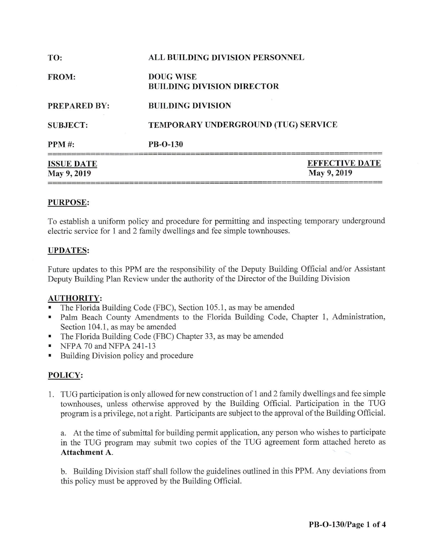| <b>ISSUE DATE</b><br>May 9, 2019 |                                                       | <b>EFFECTIVE DATE</b><br>May 9, 2019 |
|----------------------------------|-------------------------------------------------------|--------------------------------------|
| <b>PPM#:</b>                     | <b>PB-O-130</b>                                       |                                      |
| <b>SUBJECT:</b>                  | TEMPORARY UNDERGROUND (TUG) SERVICE                   |                                      |
| <b>PREPARED BY:</b>              | <b>BUILDING DIVISION</b>                              |                                      |
| <b>FROM:</b>                     | <b>DOUG WISE</b><br><b>BUILDING DIVISION DIRECTOR</b> |                                      |
| TO:                              | <b>ALL BUILDING DIVISION PERSONNEL</b>                |                                      |

## **PURPOSE:**

To establish a uniform policy and procedure for permitting and inspecting temporary underground electric service for 1 and 2 family dwellings and fee simple townhouses.

## **UPDATES:**

Future updates to this PPM are the responsibility of the Deputy Building Official and/or Assistant Deputy Building Plan Review under the authority of the Director of the Building Division

#### **AUTHORITY:**

- The Florida Building Code (FBC), Section 105.1, as may be amended
- Palm Beach County Amendments to the Florida Building Code, Chapter 1, Administration, Section 104.1, as may be amended
- The Florida Building Code (FBC) Chapter 33, as may be amended ٠
- NFPA 70 and NFPA 241-13  $\blacksquare$
- Building Division policy and procedure

## POLICY:

1. TUG participation is only allowed for new construction of 1 and 2 family dwellings and fee simple townhouses, unless otherwise approved by the Building Official. Participation in the TUG program is a privilege, not a right. Participants are subject to the approval of the Building Official.

a. At the time of submittal for building permit application, any person who wishes to participate in the TUG program may submit two copies of the TUG agreement form attached hereto as Attachment A.

b. Building Division staff shall follow the guidelines outlined in this PPM. Any deviations from this policy must be approved by the Building Official.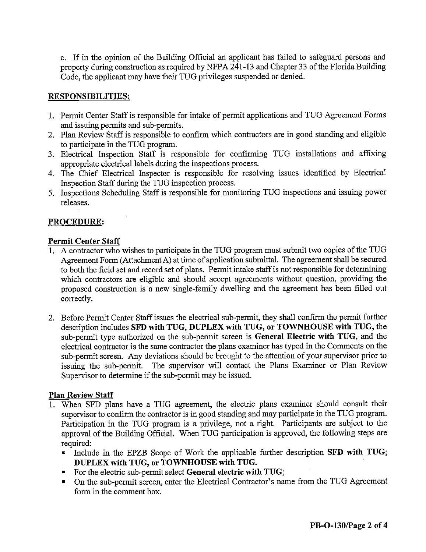c. If in the opinion of the Building Official an applicant has failed to safeguard persons and property during construction as required by NFPA 241-13 and Chapter 33 of the Florida Building Code, the applicant may have their TUG privileges suspended or denied.

#### **RESPONSIBILITIES:**

- 1. Permit Center Staff is responsible for intake of permit applications and TUG Agreement Forms and issuing permits and sub-permits.
- 2. Plan Review Staff is responsible to confirm which contractors are in good standing and eligible to participate in the TUG program.
- 3. Electrical Inspection Staff is responsible for confirming TUG installations and affixing appropriate electrical labels during the inspections process.
- 4. The Chief Electrical Inspector is responsible for resolving issues identified by Electrical Inspection Staff during the TUG inspection process.
- 5. Inspections Scheduling Staff is responsible for monitoring TUG inspections and issuing power releases.

#### PROCEDURE:

#### **Permit Center Staff**

- 1. A contractor who wishes to participate in the TUG program must submit two copies of the TUG Agreement Form (Attachment A) at time of application submittal. The agreement shall be secured to both the field set and record set of plans. Permit intake staff is not responsible for determining which contractors are eligible and should accept agreements without question, providing the proposed construction is a new single-family dwelling and the agreement has been filled out correctly.
- 2. Before Permit Center Staff issues the electrical sub-permit, they shall confirm the permit further description includes SFD with TUG, DUPLEX with TUG, or TOWNHOUSE with TUG, the sub-permit type authorized on the sub-permit screen is General Electric with TUG, and the electrical contractor is the same contractor the plans examiner has typed in the Comments on the sub-permit screen. Any deviations should be brought to the attention of your supervisor prior to The supervisor will contact the Plans Examiner or Plan Review issuing the sub-permit. Supervisor to determine if the sub-permit may be issued.

#### **Plan Review Staff**

- 1. When SFD plans have a TUG agreement, the electric plans examiner should consult their supervisor to confirm the contractor is in good standing and may participate in the TUG program. Participation in the TUG program is a privilege, not a right. Participants are subject to the approval of the Building Official. When TUG participation is approved, the following steps are required:
	- Include in the EPZB Scope of Work the applicable further description SFD with TUG; DUPLEX with TUG, or TOWNHOUSE with TUG.
	- For the electric sub-permit select General electric with TUG;
	- On the sub-permit screen, enter the Electrical Contractor's name from the TUG Agreement form in the comment box.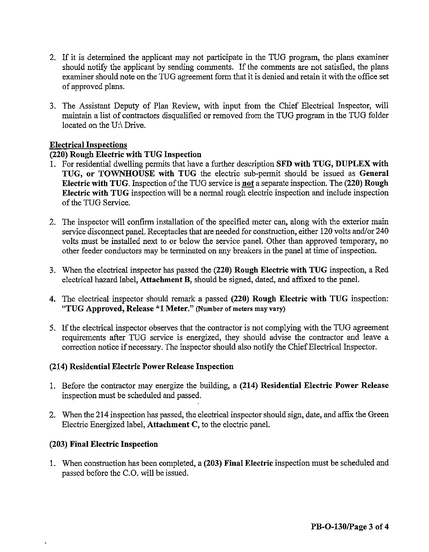- 2. If it is determined the applicant may not participate in the TUG program, the plans examiner should notify the applicant by sending comments. If the comments are not satisfied, the plans examiner should note on the TUG agreement form that it is denied and retain it with the office set of approved plans.
- 3. The Assistant Deputy of Plan Review, with input from the Chief Electrical Inspector, will maintain a list of contractors disqualified or removed from the TUG program in the TUG folder located on the U:\ Drive.

#### **Electrical Inspections**

#### (220) Rough Electric with TUG Inspection

- 1. For residential dwelling permits that have a further description SFD with TUG, DUPLEX with TUG, or TOWNHOUSE with TUG the electric sub-permit should be issued as General Electric with TUG. Inspection of the TUG service is not a separate inspection. The (220) Rough Electric with TUG inspection will be a normal rough electric inspection and include inspection of the TUG Service.
- 2. The inspector will confirm installation of the specified meter can, along with the exterior main service disconnect panel. Receptacles that are needed for construction, either 120 volts and/or 240 volts must be installed next to or below the service panel. Other than approved temporary, no other feeder conductors may be terminated on any breakers in the panel at time of inspection.
- 3. When the electrical inspector has passed the (220) Rough Electric with TUG inspection, a Red electrical hazard label, Attachment B, should be signed, dated, and affixed to the panel.
- 4. The electrical inspector should remark a passed (220) Rough Electric with TUG inspection: "TUG Approved, Release \*1 Meter." (Number of meters may vary)
- 5. If the electrical inspector observes that the contractor is not complying with the TUG agreement requirements after TUG service is energized, they should advise the contractor and leave a correction notice if necessary. The inspector should also notify the Chief Electrical Inspector.

#### (214) Residential Electric Power Release Inspection

- 1. Before the contractor may energize the building, a (214) Residential Electric Power Release inspection must be scheduled and passed.
- 2. When the 214 inspection has passed, the electrical inspector should sign, date, and affix the Green Electric Energized label, Attachment C, to the electric panel.

#### (203) Final Electric Inspection

1. When construction has been completed, a (203) Final Electric inspection must be scheduled and passed before the C.O. will be issued.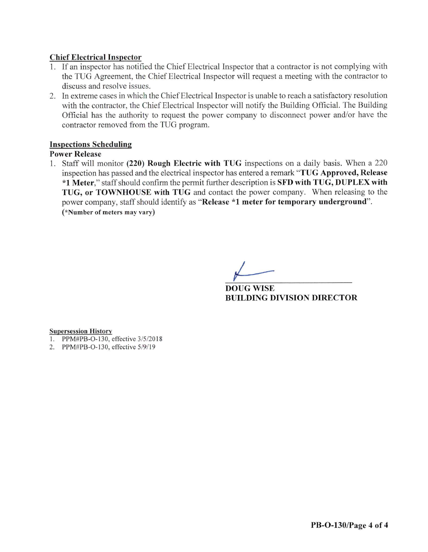#### **Chief Electrical Inspector**

- 1. If an inspector has notified the Chief Electrical Inspector that a contractor is not complying with the TUG Agreement, the Chief Electrical Inspector will request a meeting with the contractor to discuss and resolve issues.
- 2. In extreme cases in which the Chief Electrical Inspector is unable to reach a satisfactory resolution with the contractor, the Chief Electrical Inspector will notify the Building Official. The Building Official has the authority to request the power company to disconnect power and/or have the contractor removed from the TUG program.

#### **Inspections Scheduling**

#### **Power Release**

1. Staff will monitor (220) Rough Electric with TUG inspections on a daily basis. When a 220 inspection has passed and the electrical inspector has entered a remark "TUG Approved, Release \*1 Meter," staff should confirm the permit further description is SFD with TUG, DUPLEX with TUG, or TOWNHOUSE with TUG and contact the power company. When releasing to the power company, staff should identify as "Release \*1 meter for temporary underground". (\*Number of meters may vary)

**DOUG WISE BUILDING DIVISION DIRECTOR** 

#### **Supersession History**

- 1. PPM#PB-O-130, effective 3/5/2018
- 2. PPM#PB-O-130, effective 5/9/19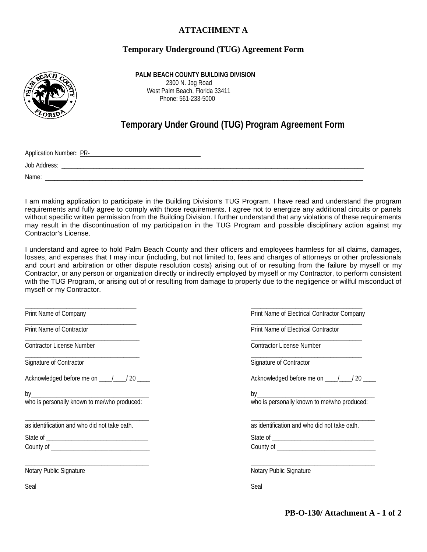#### **ATTACHMENT A**

#### **Temporary Underground (TUG) Agreement Form**



 **PALM BEACH COUNTY BUILDING DIVISION** 2300 N. Jog Road West Palm Beach, Florida 33411 Phone: 561-233-5000

# **Temporary Under Ground (TUG) Program Agreement Form**

Application Number**:** PR-

Job Address: \_\_\_\_\_\_\_\_\_\_\_\_\_\_\_\_\_\_\_\_\_\_\_\_\_\_\_\_\_\_\_\_\_\_\_\_\_\_\_\_\_\_\_\_\_\_\_\_\_\_\_\_\_\_\_\_\_\_\_\_\_\_\_\_\_\_\_\_\_\_\_\_\_\_\_\_\_\_\_\_\_\_\_\_\_\_\_\_\_\_\_\_\_\_\_

Name: \_\_\_\_\_\_\_\_\_\_\_\_\_\_\_\_\_\_\_\_\_\_\_\_\_\_\_\_\_\_\_\_\_\_\_\_\_\_\_\_\_\_\_\_\_\_\_\_\_\_\_\_\_\_\_\_\_\_\_\_\_\_\_\_\_\_\_\_\_\_\_\_\_\_\_\_\_\_\_\_\_\_\_\_\_\_\_\_\_\_\_\_\_\_\_\_\_\_\_\_

I am making application to participate in the Building Division's TUG Program. I have read and understand the program requirements and fully agree to comply with those requirements. I agree not to energize any additional circuits or panels without specific written permission from the Building Division. I further understand that any violations of these requirements may result in the discontinuation of my participation in the TUG Program and possible disciplinary action against my Contractor's License.

I understand and agree to hold Palm Beach County and their officers and employees harmless for all claims, damages, losses, and expenses that I may incur (including, but not limited to, fees and charges of attorneys or other professionals and court and arbitration or other dispute resolution costs) arising out of or resulting from the failure by myself or my Contractor, or any person or organization directly or indirectly employed by myself or my Contractor, to perform consistent with the TUG Program, or arising out of or resulting from damage to property due to the negligence or willful misconduct of myself or my Contractor.

\_\_\_\_\_\_\_\_\_\_\_\_\_\_\_\_\_\_\_\_\_\_\_\_\_\_\_\_\_\_\_\_\_\_\_ \_\_\_\_\_\_\_\_\_\_\_\_\_\_\_\_\_\_\_\_\_\_\_\_\_\_\_\_\_\_\_\_\_\_\_ Print Name of Company Print Name of Electrical Contractor Company \_\_\_\_\_\_\_\_\_\_\_\_\_\_\_\_\_\_\_\_\_\_\_\_\_\_\_\_\_\_\_\_\_\_\_ \_\_\_\_\_\_\_\_\_\_\_\_\_\_\_\_\_\_\_\_\_\_\_\_\_\_\_\_\_\_\_\_\_\_\_ Print Name of Contractor Print Name of Electrical Contractor \_\_\_\_\_\_\_\_\_\_\_\_\_\_\_\_\_\_\_\_\_\_\_\_\_\_\_\_\_\_\_\_\_\_\_\_ \_\_\_\_\_\_\_\_\_\_\_\_\_\_\_\_\_\_\_\_\_\_\_\_\_\_\_\_\_\_\_\_\_\_\_ Contractor License Number Contractor License Number \_\_\_\_\_\_\_\_\_\_\_\_\_\_\_\_\_\_\_\_\_\_\_\_\_\_\_\_\_\_\_\_\_\_\_\_ \_\_\_\_\_\_\_\_\_\_\_\_\_\_\_\_\_\_\_\_\_\_\_\_\_\_\_\_\_\_\_\_\_\_\_ Signature of Contractor Signature of Contractor Signature of Contractor Signature of Contractor Acknowledged before me on  $\frac{1}{20}$  / 20  $\frac{1}{20}$  acknowledged before me on  $\frac{1}{20}$  / 20 by\_\_\_\_\_\_\_\_\_\_\_\_\_\_\_\_\_\_\_\_\_\_\_\_\_\_\_\_\_\_\_\_\_\_\_\_\_ by\_\_\_\_\_\_\_\_\_\_\_\_\_\_\_\_\_\_\_\_\_\_\_\_\_\_\_\_\_\_\_\_\_\_\_\_\_ who is personally known to me/who produced: who is personally known to me/who produced: \_\_\_\_\_\_\_\_\_\_\_\_\_\_\_\_\_\_\_\_\_\_\_\_\_\_\_\_\_\_\_\_\_\_\_\_\_\_\_ \_\_\_\_\_\_\_\_\_\_\_\_\_\_\_\_\_\_\_\_\_\_\_\_\_\_\_\_\_\_\_\_\_\_\_\_\_\_\_ as identification and who did not take oath. as identification and who did not take oath. State of \_\_\_\_\_\_\_\_\_\_\_\_\_\_\_\_\_\_\_\_\_\_\_\_\_\_\_\_\_\_\_\_ State of \_\_\_\_\_\_\_\_\_\_\_\_\_\_\_\_\_\_\_\_\_\_\_\_\_\_\_\_\_\_\_\_ County of \_\_\_\_\_\_\_\_\_\_\_\_\_\_\_\_\_\_\_\_\_\_\_\_\_\_\_\_\_\_\_ County of \_\_\_\_\_\_\_\_\_\_\_\_\_\_\_\_\_\_\_\_\_\_\_\_\_\_\_\_\_\_\_ \_\_\_\_\_\_\_\_\_\_\_\_\_\_\_\_\_\_\_\_\_\_\_\_\_\_\_\_\_\_\_\_\_\_\_\_\_\_\_ \_\_\_\_\_\_\_\_\_\_\_\_\_\_\_\_\_\_\_\_\_\_\_\_\_\_\_\_\_\_\_\_\_\_\_\_\_\_\_ Notary Public Signature **Notary Public Signature** Notary Public Signature Seal Seal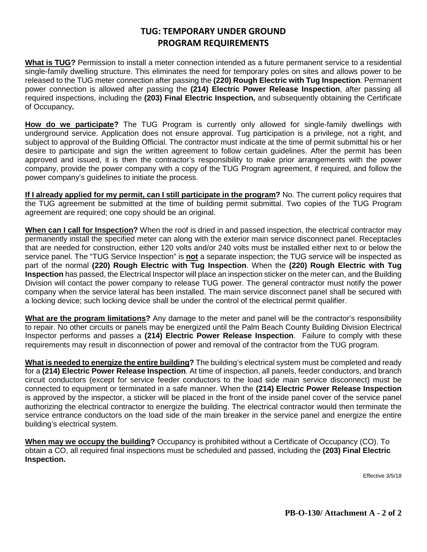## **TUG: TEMPORARY UNDER GROUND PROGRAM REQUIREMENTS**

**What is TUG?** Permission to install a meter connection intended as a future permanent service to a residential single-family dwelling structure. This eliminates the need for temporary poles on sites and allows power to be released to the TUG meter connection after passing the **(220) Rough Electric with Tug Inspection**. Permanent power connection is allowed after passing the **(214) Electric Power Release Inspection**, after passing all required inspections, including the **(203) Final Electric Inspection,** and subsequently obtaining the Certificate of Occupancy**.**

**How do we participate?** The TUG Program is currently only allowed for single-family dwellings with underground service. Application does not ensure approval. Tug participation is a privilege, not a right, and subject to approval of the Building Official. The contractor must indicate at the time of permit submittal his or her desire to participate and sign the written agreement to follow certain guidelines. After the permit has been approved and issued, it is then the contractor's responsibility to make prior arrangements with the power company, provide the power company with a copy of the TUG Program agreement, if required, and follow the power company's guidelines to initiate the process.

**If I already applied for my permit, can I still participate in the program?** No. The current policy requires that the TUG agreement be submitted at the time of building permit submittal. Two copies of the TUG Program agreement are required; one copy should be an original.

**When can I call for Inspection?** When the roof is dried in and passed inspection, the electrical contractor may permanently install the specified meter can along with the exterior main service disconnect panel. Receptacles that are needed for construction, either 120 volts and/or 240 volts must be installed either next to or below the service panel. The "TUG Service Inspection" is **not** a separate inspection; the TUG service will be inspected as part of the normal **(220) Rough Electric with Tug Inspection**. When the **(220) Rough Electric with Tug Inspection** has passed, the Electrical Inspector will place an inspection sticker on the meter can, and the Building Division will contact the power company to release TUG power. The general contractor must notify the power company when the service lateral has been installed. The main service disconnect panel shall be secured with a locking device; such locking device shall be under the control of the electrical permit qualifier.

**What are the program limitations?** Any damage to the meter and panel will be the contractor's responsibility to repair. No other circuits or panels may be energized until the Palm Beach County Building Division Electrical Inspector performs and passes a **(214) Electric Power Release Inspection**. Failure to comply with these requirements may result in disconnection of power and removal of the contractor from the TUG program.

**What is needed to energize the entire building?** The building's electrical system must be completed and ready for a **(214) Electric Power Release Inspection**. At time of inspection, all panels, feeder conductors, and branch circuit conductors (except for service feeder conductors to the load side main service disconnect) must be connected to equipment or terminated in a safe manner. When the **(214) Electric Power Release Inspection** is approved by the inspector, a sticker will be placed in the front of the inside panel cover of the service panel authorizing the electrical contractor to energize the building. The electrical contractor would then terminate the service entrance conductors on the load side of the main breaker in the service panel and energize the entire building's electrical system.

**When may we occupy the building?** Occupancy is prohibited without a Certificate of Occupancy (CO). To obtain a CO, all required final inspections must be scheduled and passed, including the **(203) Final Electric Inspection.**

Effective 3/5/18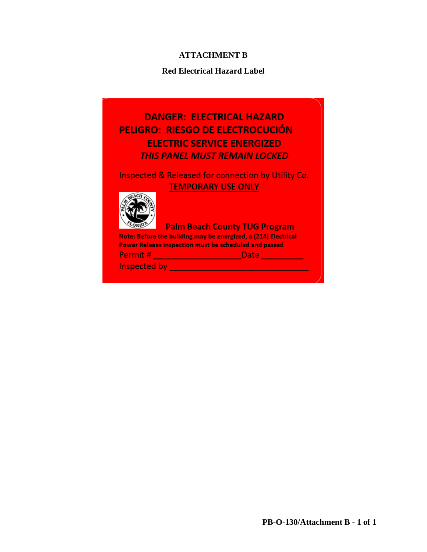## **ATTACHMENT B**

#### **Red Electrical Hazard Label**

# **DANGER: ELECTRICAL HAZARD** PELIGRO: RIESGO DE ELECTROCUCIÓN **ELECTRIC SERVICE ENERGIZED THIS PANEL MUST REMAIN LOCKED**

## Inspected & Released for connection by Utility Co. **TEMPORARY USE ONLY**



#### **Palm Beach County TUG Program**

Note: Before the building may be energized, a (214) Electrical Power Release inspection must be scheduled and passed Permit # \_\_\_\_\_\_\_\_\_\_\_\_\_\_\_\_\_\_\_\_\_\_\_\_\_\_\_\_\_\_Date \_\_\_\_\_\_\_\_\_\_\_\_\_\_\_